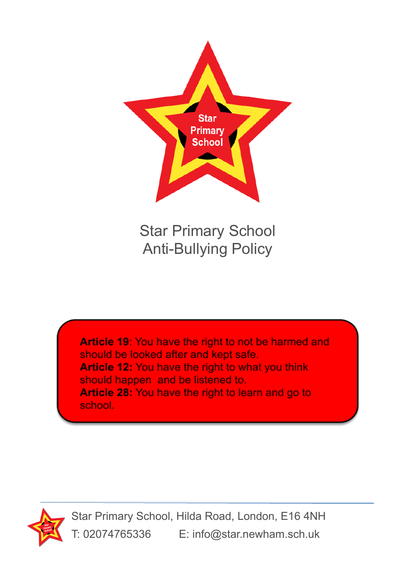

Star Primary School Anti-Bullying Policy

Article 19: You have the right to not be harmed and should be looked after and kept safe. **Article 12: You have the right to what you think** should happen and be listened to. Article 28: You have the right to learn and go to school.



Star Primary School, Hilda Road, London, E16 4NH T: 02074765336 E: info@star.newham.sch.uk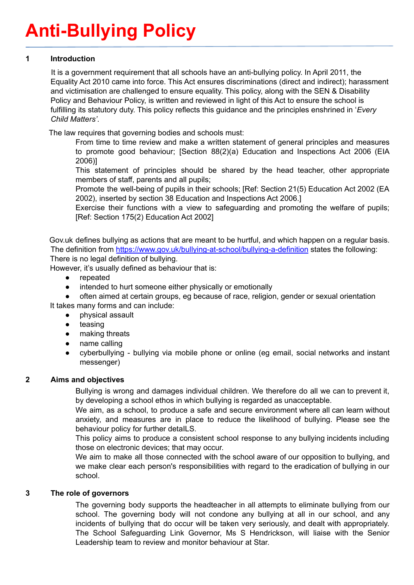# **Anti-Bullying Policy**

## **1 Introduction**

It is a government requirement that all schools have an anti-bullying policy. In April 2011, the Equality Act 2010 came into force. This Act ensures discriminations (direct and indirect); harassment and victimisation are challenged to ensure equality. This policy, along with the SEN & Disability Policy and Behaviour Policy, is written and reviewed in light of this Act to ensure the school is fulfilling its statutory duty. This policy reflects this guidance and the principles enshrined in '*Every Child Matters'*.

The law requires that governing bodies and schools must:

From time to time review and make a written statement of general principles and measures to promote good behaviour; [Section 88(2)(a) Education and Inspections Act 2006 (EIA 2006)]

This statement of principles should be shared by the head teacher, other appropriate members of staff, parents and all pupils;

Promote the well-being of pupils in their schools; [Ref: Section 21(5) Education Act 2002 (EA 2002), inserted by section 38 Education and Inspections Act 2006.]

Exercise their functions with a view to safeguarding and promoting the welfare of pupils; [Ref: Section 175(2) Education Act 2002]

Gov.uk defines bullying as actions that are meant to be hurtful, and which happen on a regular basis. The definition from <https://www.gov.uk/bullying-at-school/bullying-a-definition> states the following: There is no legal definition of bullying.

However, it's usually defined as behaviour that is:

- repeated
- intended to hurt someone either physically or emotionally
- often aimed at certain groups, eg because of race, religion, gender or sexual orientation It takes many forms and can include:
	- physical assault
	- teasing
	- making threats
	- name calling
	- cyberbullying bullying via mobile phone or online (eg email, social networks and instant messenger)

# **2 Aims and objectives**

Bullying is wrong and damages individual children. We therefore do all we can to prevent it, by developing a school ethos in which bullying is regarded as unacceptable.

We aim, as a school, to produce a safe and secure environment where all can learn without anxiety, and measures are in place to reduce the likelihood of bullying. Please see the behaviour policy for further detaILS.

This policy aims to produce a consistent school response to any bullying incidents including those on electronic devices; that may occur.

We aim to make all those connected with the school aware of our opposition to bullying, and we make clear each person's responsibilities with regard to the eradication of bullying in our school.

## **3 The role of governors**

The governing body supports the headteacher in all attempts to eliminate bullying from our school. The governing body will not condone any bullying at all in our school, and any incidents of bullying that do occur will be taken very seriously, and dealt with appropriately. The School Safeguarding Link Governor, Ms S Hendrickson, will liaise with the Senior Leadership team to review and monitor behaviour at Star.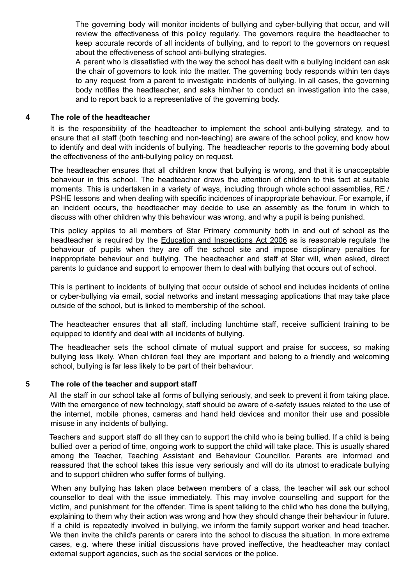The governing body will monitor incidents of bullying and cyber-bullying that occur, and will review the effectiveness of this policy regularly. The governors require the headteacher to keep accurate records of all incidents of bullying, and to report to the governors on request about the effectiveness of school anti-bullying strategies.

A parent who is dissatisfied with the way the school has dealt with a bullying incident can ask the chair of governors to look into the matter. The governing body responds within ten days to any request from a parent to investigate incidents of bullying. In all cases, the governing body notifies the headteacher, and asks him/her to conduct an investigation into the case, and to report back to a representative of the governing body.

#### **4 The role of the headteacher**

It is the responsibility of the headteacher to implement the school anti-bullying strategy, and to ensure that all staff (both teaching and non-teaching) are aware of the school policy, and know how to identify and deal with incidents of bullying. The headteacher reports to the governing body about the effectiveness of the anti-bullying policy on request.

The headteacher ensures that all children know that bullying is wrong, and that it is unacceptable behaviour in this school. The headteacher draws the attention of children to this fact at suitable moments. This is undertaken in a variety of ways, including through whole school assemblies, RE / PSHE lessons and when dealing with specific incidences of inappropriate behaviour. For example, if an incident occurs, the headteacher may decide to use an assembly as the forum in which to discuss with other children why this behaviour was wrong, and why a pupil is being punished.

This policy applies to all members of Star Primary community both in and out of school as the headteacher is required by the Education and Inspections Act 2006 as is reasonable regulate the behaviour of pupils when they are off the school site and impose disciplinary penalties for inappropriate behaviour and bullying. The headteacher and staff at Star will, when asked, direct parents to guidance and support to empower them to deal with bullying that occurs out of school.

This is pertinent to incidents of bullying that occur outside of school and includes incidents of online or cyber-bullying via email, social networks and instant messaging applications that may take place outside of the school, but is linked to membership of the school.

The headteacher ensures that all staff, including lunchtime staff, receive sufficient training to be equipped to identify and deal with all incidents of bullying.

The headteacher sets the school climate of mutual support and praise for success, so making bullying less likely. When children feel they are important and belong to a friendly and welcoming school, bullying is far less likely to be part of their behaviour.

#### **5 The role of the teacher and support staff**

All the staff in our school take all forms of bullying seriously, and seek to prevent it from taking place. With the emergence of new technology, staff should be aware of e-safety issues related to the use of the internet, mobile phones, cameras and hand held devices and monitor their use and possible misuse in any incidents of bullying.

Teachers and support staff do all they can to support the child who is being bullied. If a child is being bullied over a period of time, ongoing work to support the child will take place. This is usually shared among the Teacher, Teaching Assistant and Behaviour Councillor. Parents are informed and reassured that the school takes this issue very seriously and will do its utmost to eradicate bullying and to support children who suffer forms of bullying.

When any bullying has taken place between members of a class, the teacher will ask our school counsellor to deal with the issue immediately. This may involve counselling and support for the victim, and punishment for the offender. Time is spent talking to the child who has done the bullying, explaining to them why their action was wrong and how they should change their behaviour in future. If a child is repeatedly involved in bullying, we inform the family support worker and head teacher. We then invite the child's parents or carers into the school to discuss the situation. In more extreme cases, e.g. where these initial discussions have proved ineffective, the headteacher may contact external support agencies, such as the social services or the police.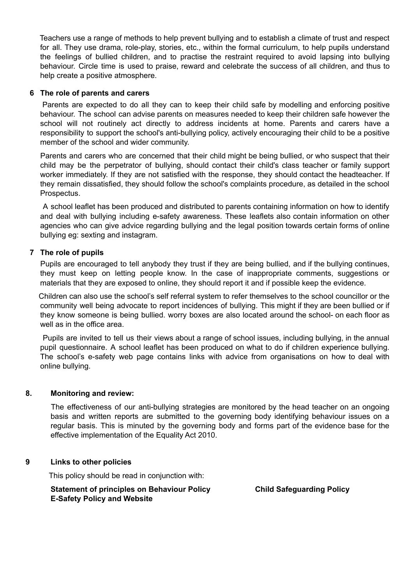Teachers use a range of methods to help prevent bullying and to establish a climate of trust and respect for all. They use drama, role-play, stories, etc., within the formal curriculum, to help pupils understand the feelings of bullied children, and to practise the restraint required to avoid lapsing into bullying behaviour. Circle time is used to praise, reward and celebrate the success of all children, and thus to help create a positive atmosphere.

#### **6 The role of parents and carers**

Parents are expected to do all they can to keep their child safe by modelling and enforcing positive behaviour. The school can advise parents on measures needed to keep their children safe however the school will not routinely act directly to address incidents at home. Parents and carers have a responsibility to support the school's anti-bullying policy, actively encouraging their child to be a positive member of the school and wider community.

Parents and carers who are concerned that their child might be being bullied, or who suspect that their child may be the perpetrator of bullying, should contact their child's class teacher or family support worker immediately. If they are not satisfied with the response, they should contact the headteacher. If they remain dissatisfied, they should follow the school's complaints procedure, as detailed in the school Prospectus.

A school leaflet has been produced and distributed to parents containing information on how to identify and deal with bullying including e-safety awareness. These leaflets also contain information on other agencies who can give advice regarding bullying and the legal position towards certain forms of online bullying eg: sexting and instagram.

#### **7 The role of pupils**

Pupils are encouraged to tell anybody they trust if they are being bullied, and if the bullying continues, they must keep on letting people know. In the case of inappropriate comments, suggestions or materials that they are exposed to online, they should report it and if possible keep the evidence.

Children can also use the school's self referral system to refer themselves to the school councillor or the community well being advocate to report incidences of bullying. This might if they are been bullied or if they know someone is being bullied. worry boxes are also located around the school- on each floor as well as in the office area.

Pupils are invited to tell us their views about a range of school issues, including bullying, in the annual pupil questionnaire. A school leaflet has been produced on what to do if children experience bullying. The school's e-safety web page contains links with advice from organisations on how to deal with online bullying.

#### **8. Monitoring and review:**

The effectiveness of our anti-bullying strategies are monitored by the head teacher on an ongoing basis and written reports are submitted to the governing body identifying behaviour issues on a regular basis. This is minuted by the governing body and forms part of the evidence base for the effective implementation of the Equality Act 2010.

#### **9 Links to other policies**

This policy should be read in conjunction with:

#### **Statement of principles on Behaviour Policy Child Safeguarding Policy E-Safety Policy and Website**